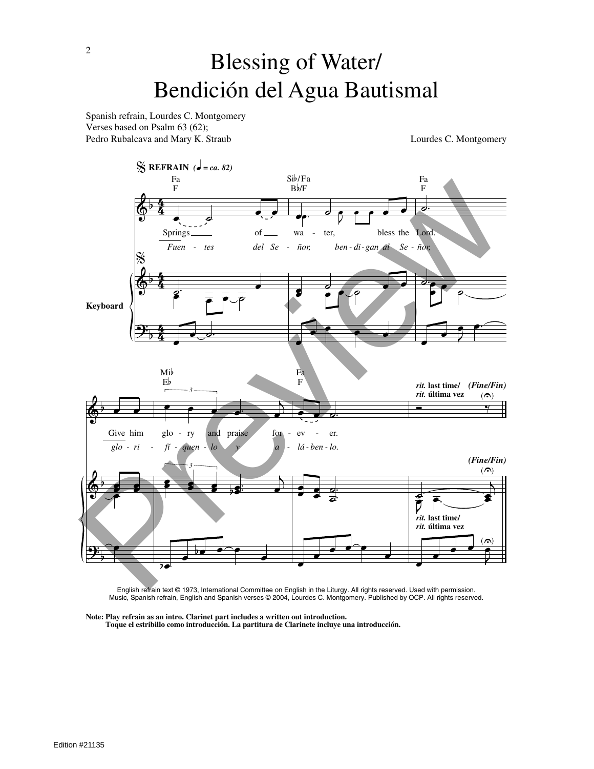# Blessing of Water/ Bendición del Agua Bautismal

Spanish refrain, Lourdes C. Montgomery Verses based on Psalm 63 (62); Pedro Rubalcava and Mary K. Straub Lourdes C. Montgomery



English refrain text © 1973, International Committee on English in the Liturgy. All rights reserved. Used with permission. Music, Spanish refrain, English and Spanish verses © 2004, Lourdes C. Montgomery. Published by OCP. All rights reserved.

**Note: Play refrain as an intro. Clarinet part includes a written out introduction. Toque el estribillo como introducción. La partitura de Clarinete incluye una introducción.**

2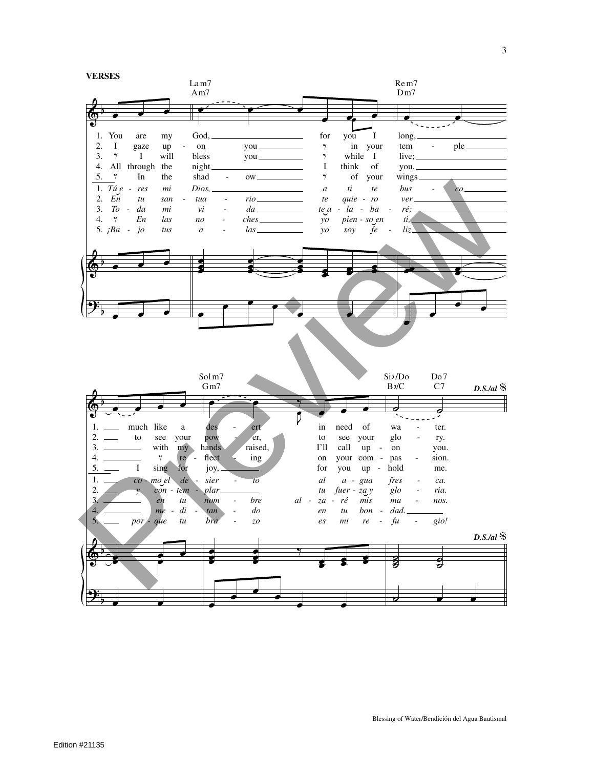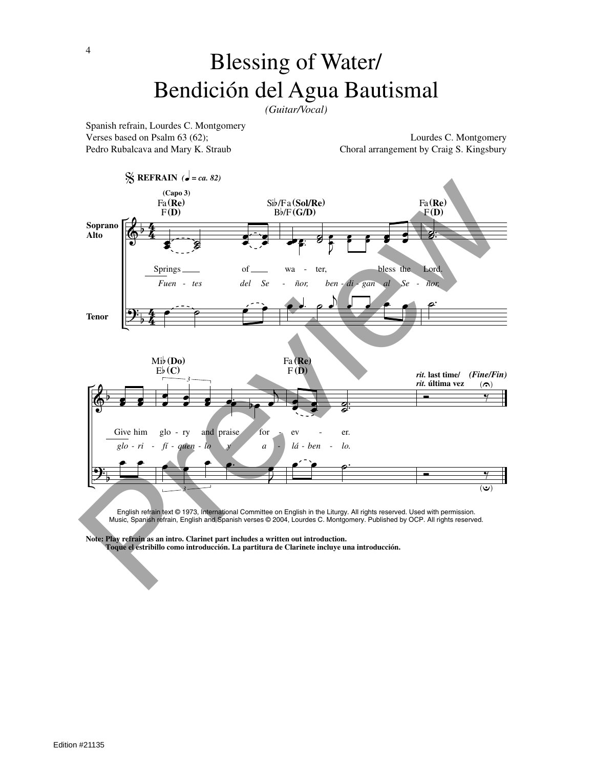## Blessing of Water/ Bendición del Agua Bautismal

*(Guitar/Vocal)*

Spanish refrain, Lourdes C. Montgomery

Verses based on Psalm 63 (62); Lourdes C. Montgomery Pedro Rubalcava and Mary K. Straub Choral arrangement by Craig S. Kingsbury



English refrain text © 1973, International Committee on English in the Liturgy. All rights reserved. Used with permission. Music, Spanish refrain, English and Spanish verses © 2004, Lourdes C. Montgomery. Published by OCP. All rights reserved.

**Note: Play refrain as an intro. Clarinet part includes a written out introduction.**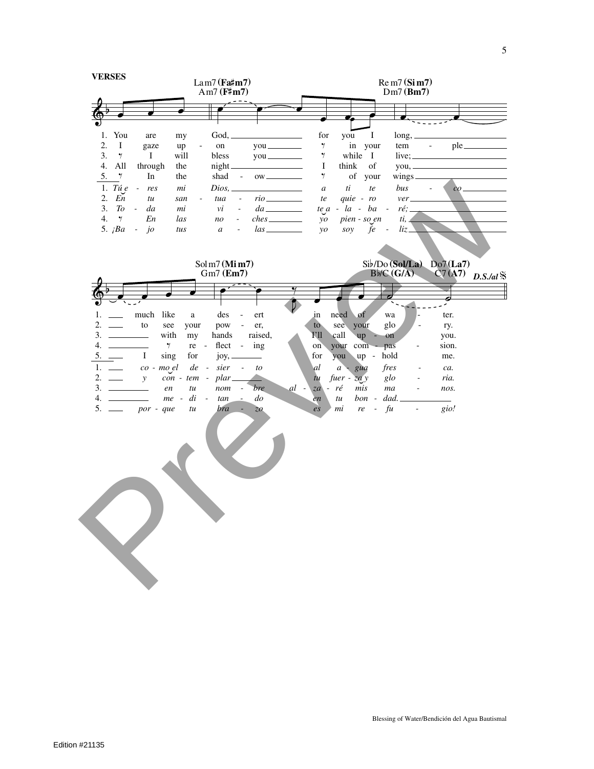|                                              | <b>VERSES</b><br>$Lam7$ (Fa#m7)<br>Am7 $(F\sharp m7)$                                              |                                              |                                                                     | $\text{Re } \text{m7} \left( \text{Si } \text{m7} \right)$<br>$Dm7$ (Bm7) |                                  |                            |  |
|----------------------------------------------|----------------------------------------------------------------------------------------------------|----------------------------------------------|---------------------------------------------------------------------|---------------------------------------------------------------------------|----------------------------------|----------------------------|--|
|                                              |                                                                                                    |                                              |                                                                     |                                                                           |                                  |                            |  |
|                                              |                                                                                                    |                                              |                                                                     |                                                                           |                                  |                            |  |
|                                              |                                                                                                    |                                              |                                                                     |                                                                           |                                  |                            |  |
| You<br>1.<br>are                             | Good,<br>my                                                                                        |                                              | for                                                                 | you<br>Ι.                                                                 | $long, \_$                       |                            |  |
| 2.<br>$\bf{I}$<br>gaze                       | $^{\rm on}$<br>up<br>$\overline{\phantom{a}}$                                                      |                                              | $\gamma$                                                            | in your                                                                   | tem                              | $\sim 10^{-1}$             |  |
| 3.<br>$\gamma$<br>$\mathbf I$                | will<br>bless                                                                                      |                                              | $\gamma$                                                            | while I                                                                   |                                  | $live; \_\_\_\_\_\_\_\_\_$ |  |
| All<br>4.<br>through<br>5.<br>In<br>$\gamma$ | the<br>night_<br>shad<br>the<br>$\sim$ $-$                                                         | <u> 1989 - Johann Stoff, deutscher Stoff</u> | $\bf{I}$<br>$\gamma$                                                | think<br>of<br>of your                                                    |                                  | you,                       |  |
|                                              |                                                                                                    |                                              |                                                                     |                                                                           | $wings$ <sub>____</sub>          |                            |  |
| 1. Tú $e$<br>res<br>$\sim$ $-$               | $Dios, \_$<br>mi                                                                                   |                                              | $\boldsymbol{a}$                                                    | $\,ti\,$<br>$\it{te}$                                                     | bus                              |                            |  |
| 2.<br>En<br>tu<br>To<br>3.<br>da<br>$\sim$   | tua<br>$\overline{\phantom{a}}$<br>san<br>mi<br>$\mathcal{V}$ <i>i</i><br>$\overline{\phantom{a}}$ | $rio$ <sub>___________</sub>                 | te                                                                  | quie - ro<br>$te\ a - la - ba -$                                          | ver<br>ré;                       |                            |  |
| 4.<br>$\gamma$<br>En                         | las<br>no<br>$\overline{\phantom{a}}$                                                              | $ches$ <sub>__________</sub>                 | $\mathcal{Y}$                                                       | pien - so en                                                              | $ti$ ,                           |                            |  |
| 5. $iBa$<br>$\dot{j}$<br>$\sim$              | tus<br>$\mathfrak{a}$<br>$\overline{\phantom{a}}$                                                  |                                              | $\mathcal{V}$                                                       | $\emph{fe}$ -<br>soy                                                      | $liz_$                           |                            |  |
| Solm7(Mim7)<br>$Gm7$ (Em7)                   |                                                                                                    |                                              | $Sib/Do(Sol/La)$ Do7(La7)<br>C7(A7)<br>Bb/C(G/A)<br>$D.S.$ /al $\%$ |                                                                           |                                  |                            |  |
|                                              |                                                                                                    |                                              |                                                                     |                                                                           |                                  |                            |  |
|                                              |                                                                                                    |                                              |                                                                     |                                                                           | O                                | Ð                          |  |
| much like<br>1.                              | des<br>a<br>$\overline{\phantom{a}}$                                                               | ert                                          | need<br>in                                                          | $\circ$                                                                   | wa                               | ter.                       |  |
| 2.<br>to<br>see<br>$\frac{1}{1}$             | your<br>pow<br>$\sim$ $-$                                                                          | er,                                          | to                                                                  | see your                                                                  | glo                              | ry.                        |  |
| 3.<br>with<br><u> Albanya Manazarta</u>      | hands<br>my                                                                                        | raised,                                      | I'll<br>call                                                        | up                                                                        | on                               | you.                       |  |
| 4.<br>$\gamma$                               | flect -<br>re -                                                                                    | ing                                          | your<br>on <sup>-</sup>                                             | $com -$                                                                   | pas<br>$\overline{\phantom{a}}$  | sion.                      |  |
| 5.<br>$\bf{I}$<br>sing                       | for<br>joy, _                                                                                      | $\overline{\phantom{a}}$                     | for<br>you                                                          | $up -$                                                                    | hold                             | me.                        |  |
| 1.<br>co - mo el                             | $\it sier$<br>$de -$<br>$\sim$ $-$                                                                 | to                                           | al<br>$\mathfrak{a}$                                                | gua                                                                       | fres<br>$\overline{\phantom{a}}$ | ca.                        |  |
| 2.<br>$\mathcal{Y}$                          | $plar_$<br>$con - tem -$                                                                           |                                              | $t\mu$                                                              | fuer - $\overline{z}a y$                                                  | $g$ lo                           | ria.                       |  |
| 3.<br><u> 1990 - Jan Jan Ja</u><br>en        | nom<br>tu                                                                                          | bre<br>$al -$                                | $za - r\acute{e}$                                                   | mis                                                                       | ma<br>$\blacksquare$             | nos.                       |  |
| 4.                                           | $me - di$<br>$\equiv$<br>tan<br>$\sim$                                                             | $d\sigma$                                    | tu<br>en                                                            | $bon -$                                                                   | dad.                             |                            |  |
| $5. \_$<br>por - que                         | bra<br>tu                                                                                          | z <sub>o</sub>                               | mi<br>$\overline{e}$ s                                              | re<br>$\overline{\phantom{a}}$                                            | fu<br>$\overline{\phantom{a}}$   | gio!                       |  |
|                                              |                                                                                                    |                                              |                                                                     |                                                                           |                                  |                            |  |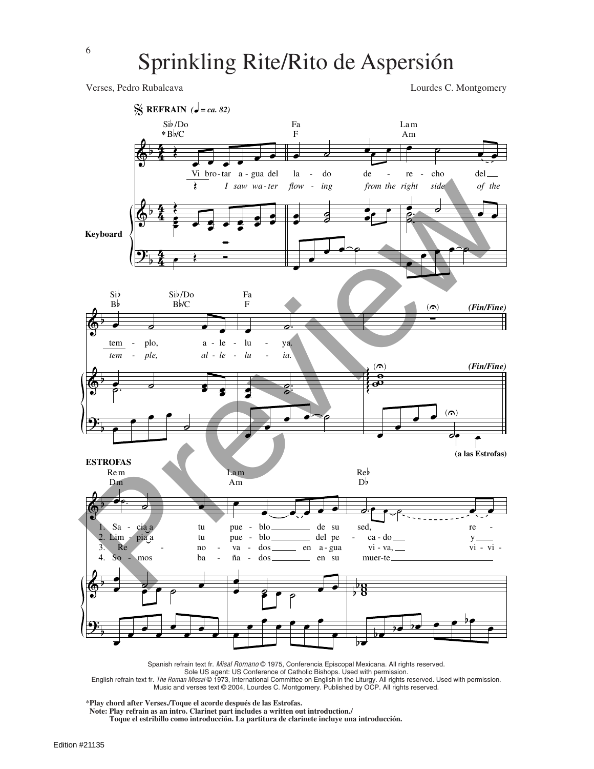Verses, Pedro Rubalcava Lourdes C. Montgomery



Spanish refrain text fr. Misal Romano © 1975, Conferencia Episcopal Mexicana. All rights reserved. Sole US agent: US Conference of Catholic Bishops. Used with permission.

English refrain text fr. *The Roman Missal* © 1973, International Committee on English in the Liturgy. All rights reserved. Used with permission.<br>Music and verses text © 2004, Lourdes C. Montgomery. Published by OCP. All r

**\*Play chord after Verses./Toque el acorde después de las Estrofas.**

**Note: Play refrain as an intro. Clarinet part includes a written out introduction./**

**Toque el estribillo como introducción. La partitura de clarinete incluye una introducción.**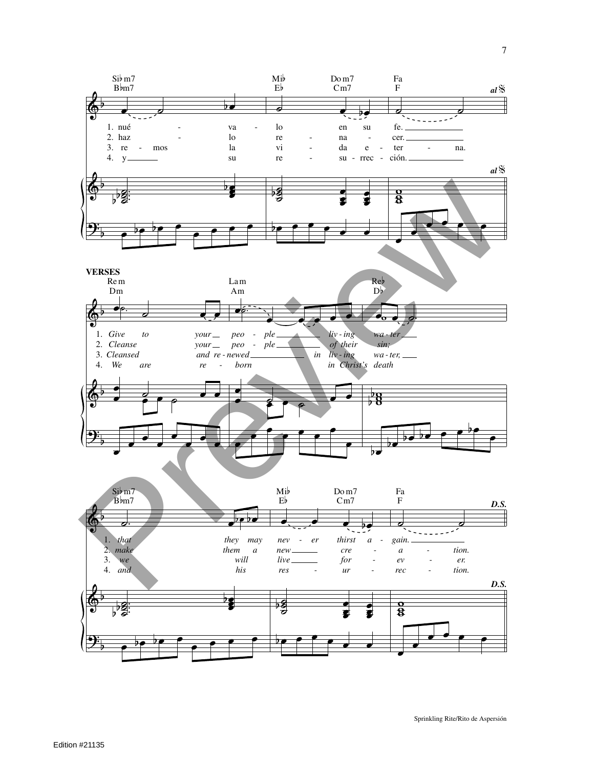![](_page_5_Figure_0.jpeg)

Sprinkling Rite/Rito de Aspersión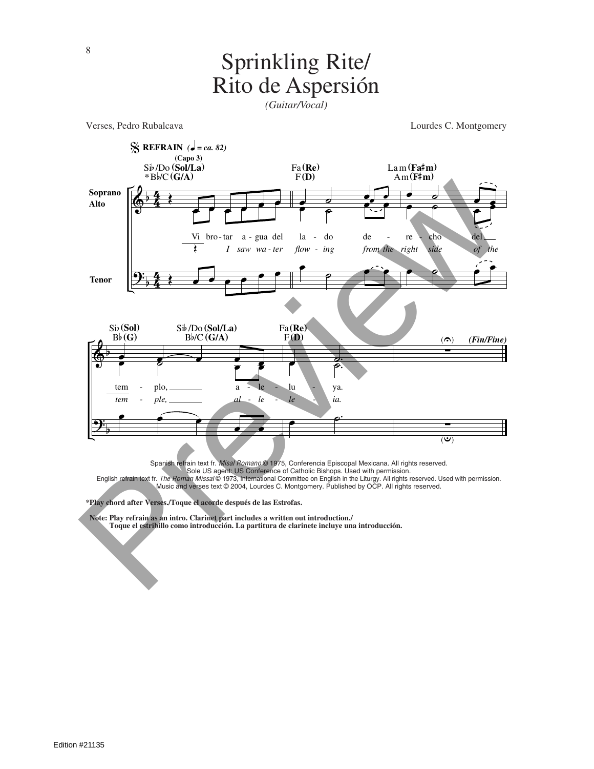#### Sprinkling Rite/ Rito de Aspersión

*(Guitar/Vocal)*

![](_page_6_Figure_2.jpeg)

**\*Play chord after Verses./Toque el acorde después de las Estrofas.**

**Note: Play refrain as an intro. Clarinet part includes a written out introduction./**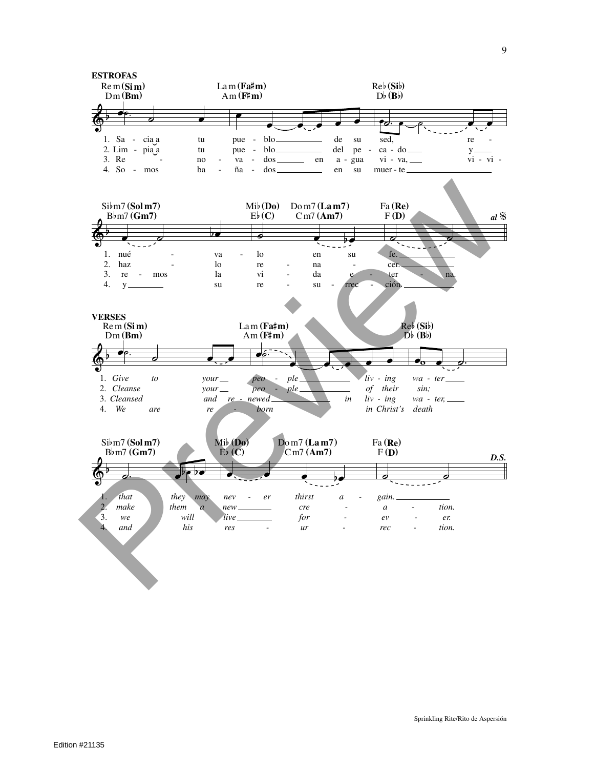![](_page_7_Figure_0.jpeg)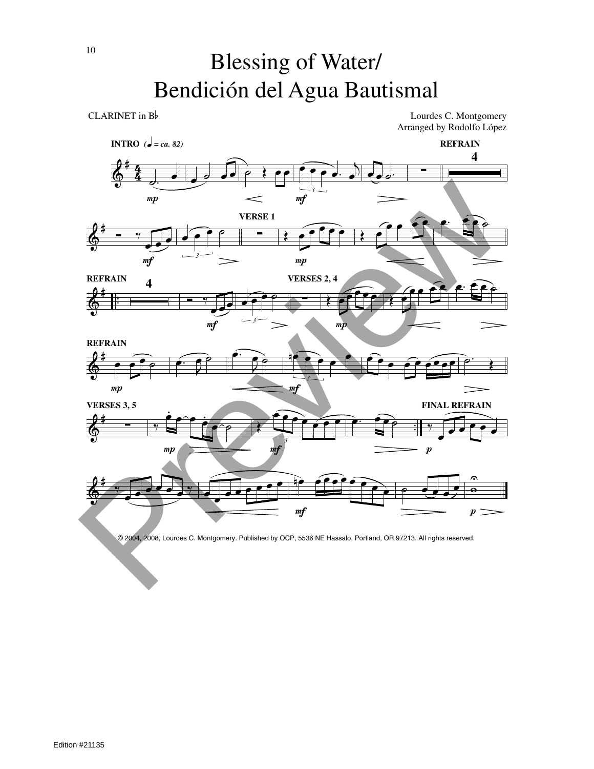# Blessing of Water/ Bendición del Agua Bautismal

CLARINET in  $B$  Lourdes C. Montgomery Arranged by Rodolfo López

![](_page_8_Figure_3.jpeg)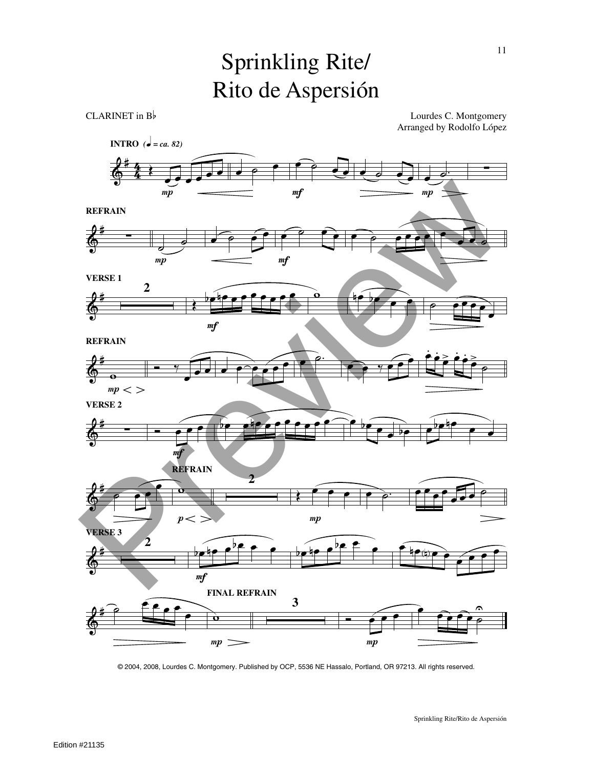# Sprinkling Rite/ Rito de Aspersión

CLARINET in  $B$  Lourdes C. Montgomery Arranged by Rodolfo López

![](_page_9_Figure_3.jpeg)

© 2004, 2008, Lourdes C. Montgomery. Published by OCP, 5536 NE Hassalo, Portland, OR 97213. All rights reserved.